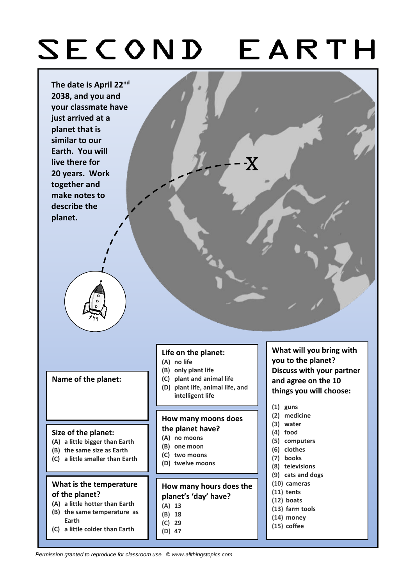# SECOND EARTH



#### **Size of the planet:**

- **(A) a little bigger than Earth**
- **(B) the same size as Earth**
- **(C) a little smaller than Earth**

## **What is the temperature of the planet?**

- **(A) a little hotter than Earth**
- **(B) the same temperature as Earth**
- **(C) a little colder than Earth**

### **How many moons does the planet have?**

- **(A) no moons**
- **(B) one moon**
- **(C) two moons**
- **(D) twelve moons**

## **How many hours does the planet's 'day' have?**

**(E) much smaller than Earth**

- **(A) 13**
- **(B) 18**
- **(C) 29**
- **(D) 47**
- **(3) water**
- **(4) food**
- **(5) computers**
- **(6) clothes**
- **(7) books**
- **(8) televisions**
- **(9) cats and dogs**
- **(10) cameras**
- **(11) tents (12) boats**
- 
- **(13) farm tools**
- **(14) money**
- **(15) coffee**

*Permission granted to reproduce for classroom use. © www.allthingstopics.com*